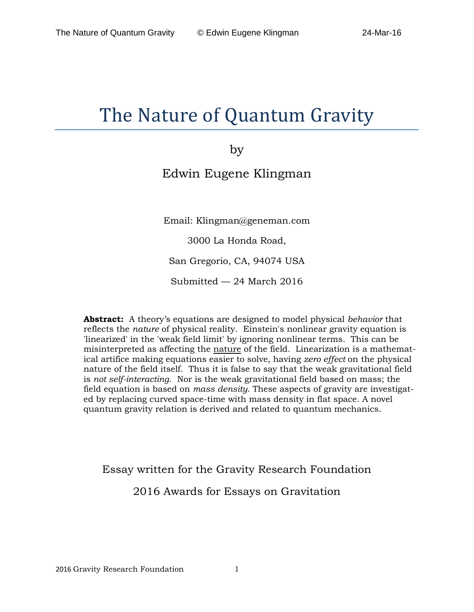# The Nature of Quantum Gravity

by

# Edwin Eugene Klingman

Email: Klingman@geneman.com

3000 La Honda Road,

San Gregorio, CA, 94074 USA

Submitted — 24 March 2016

**Abstract:** A theory's equations are designed to model physical *behavior* that reflects the *nature* of physical reality. Einstein's nonlinear gravity equation is 'linearized' in the 'weak field limit' by ignoring nonlinear terms. This can be misinterpreted as affecting the nature of the field. Linearization is a mathematical artifice making equations easier to solve, having *zero effect* on the physical nature of the field itself. Thus it is false to say that the weak gravitational field is *not self-interacting*. Nor is the weak gravitational field based on mass; the field equation is based on *mass density.* These aspects of gravity are investigated by replacing curved space-time with mass density in flat space. A novel quantum gravity relation is derived and related to quantum mechanics.

Essay written for the Gravity Research Foundation

2016 Awards for Essays on Gravitation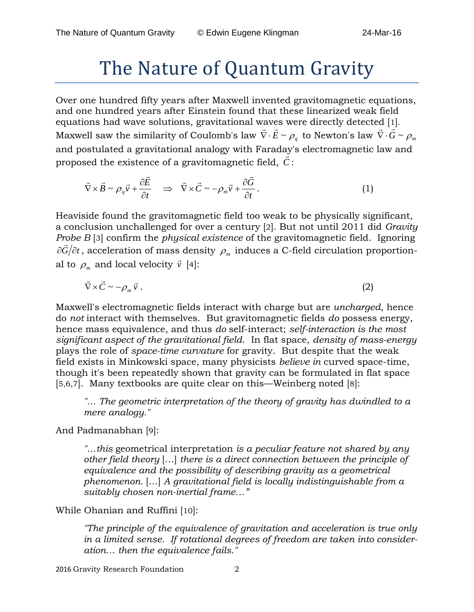# The Nature of Quantum Gravity

Over one hundred fifty years after Maxwell invented gravitomagnetic equations, and one hundred years after Einstein found that these linearized weak field equations had wave solutions, gravitational waves were directly detected [1]. *C*QUALIONS HAU WAVE SOLUTONS, gravitational waves were uncelly detected [1].<br>Maxwell saw the similarity of Coulomb's law  $\vec{\nabla} \cdot \vec{E} \sim \rho_q$  to Newton's law  $\vec{\nabla} \cdot \vec{G} \sim \rho_m$ and postulated a gravitational analogy with Faraday's electromagnetic law and proposed the existence of a gravitomagnetic field, *C* :

$$
\vec{\nabla}\times\vec{B}\sim\rho_q\vec{v}+\frac{\partial\vec{E}}{\partial t}\quad\Rightarrow\quad\vec{\nabla}\times\vec{C}\sim-\rho_m\vec{v}+\frac{\partial\vec{G}}{\partial t}.
$$
\n(1)

Heaviside found the gravitomagnetic field too weak to be physically significant, a conclusion unchallenged for over a century [2]. But not until 2011 did *Gravity Probe B* [3] confirm the *physical existence* of the gravitomagnetic field. Ignoring  $\partial \vec{G}/\partial t$ , acceleration of mass density  $\rho_m$  induces a C-field circulation proportional to  $\rho_m$  and local velocity  $\vec{v}$  [4]:

$$
\vec{\nabla}\times\vec{C}\sim-\rho_m\vec{v}.
$$
 (2)

Maxwell's electromagnetic fields interact with charge but are *uncharged*, hence do *not* interact with themselves. But gravitomagnetic fields *do* possess energy, hence mass equivalence, and thus *do* self-interact; *self-interaction is the most significant aspect of the gravitational field*. In flat space, *density of mass-energy* plays the role of *space-time curvature* for gravity. But despite that the weak field exists in Minkowski space, many physicists *believe in* curved space-time, though it's been repeatedly shown that gravity can be formulated in flat space [5,6,7]. Many textbooks are quite clear on this—Weinberg noted [8]:

*"… The geometric interpretation of the theory of gravity has dwindled to a mere analogy."*

And Padmanabhan [9]:

*"…this* geometrical interpretation *is a peculiar feature not shared by any other field theory* […] *there is a direct connection between the principle of equivalence and the possibility of describing gravity as a geometrical phenomenon.* […] *A gravitational field is locally indistinguishable from a suitably chosen non-inertial frame…"*

While Ohanian and Ruffini [10]:

*"The principle of the equivalence of gravitation and acceleration is true only in a limited sense. If rotational degrees of freedom are taken into consideration… then the equivalence fails."*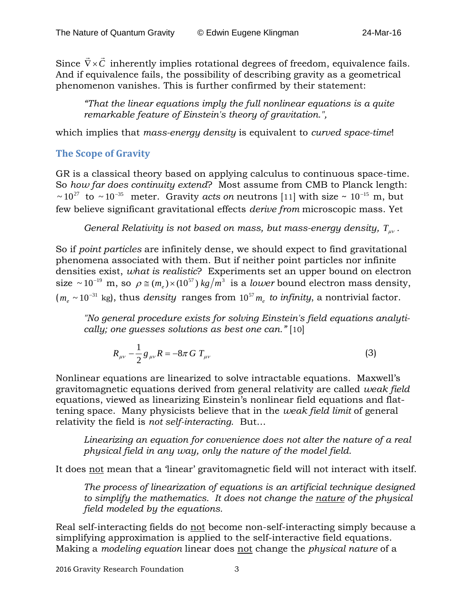Since  $\vec{\nabla} \times \vec{C}$  inherently implies rotational degrees of freedom, equivalence fails. And if equivalence fails, the possibility of describing gravity as a geometrical phenomenon vanishes. This is further confirmed by their statement:

*"That the linear equations imply the full nonlinear equations is a quite remarkable feature of Einstein's theory of gravitation.",*

which implies that *mass-energy density* is equivalent to *curved space-time*!

## **The Scope of Gravity**

GR is a classical theory based on applying calculus to continuous space-time. So *how far does continuity extend*? Most assume from CMB to Planck length:  $\sim 10^{27}$  to  $\sim 10^{-35}$  meter. Gravity *acts on* neutrons [11] with size ~ 10<sup>-15</sup> m, but few believe significant gravitational effects *derive from* microscopic mass. Yet

*General Relativity is not based on mass, but mass-energy density,*  $T_{uv}$ *.* 

So if *point particles* are infinitely dense, we should expect to find gravitational phenomena associated with them. But if neither point particles nor infinite densities exist, *what is realistic*? Experiments set an upper bound on electron size ~ 10<sup>-19</sup> m, so  $\rho \approx (m_e) \times (10^{57}) \frac{kg}{m^3}$  is a *lower* bound electron mass density, ( $m_e$  ~ 10<sup>-31</sup> kg), thus *density* ranges from  $10^{57} m_e$  *to infinity*, a nontrivial factor.

*"No general procedure exists for solving Einstein's field equations analytically; one guesses solutions as best one can."* [10]

$$
R_{\mu\nu} - \frac{1}{2} g_{\mu\nu} R = -8\pi G T_{\mu\nu}
$$
 (3)

Nonlinear equations are linearized to solve intractable equations. Maxwell's gravitomagnetic equations derived from general relativity are called *weak field* equations, viewed as linearizing Einstein's nonlinear field equations and flattening space. Many physicists believe that in the *weak field limit* of general relativity the field is *not self-interacting*. But…

*Linearizing an equation for convenience does not alter the nature of a real physical field in any way, only the nature of the model field.*

It does not mean that a 'linear' gravitomagnetic field will not interact with itself.

*The process of linearization of equations is an artificial technique designed to simplify the mathematics. It does not change the nature of the physical field modeled by the equations.* 

Real self-interacting fields do not become non-self-interacting simply because a simplifying approximation is applied to the self-interactive field equations. Making a *modeling equation* linear does not change the *physical nature* of a

2016 Gravity Research Foundation 3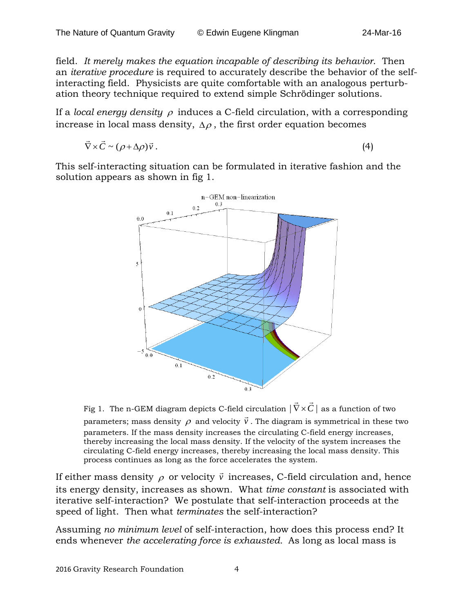field. *It merely makes the equation incapable of describing its behavior*. Then an *iterative procedure* is required to accurately describe the behavior of the selfinteracting field. Physicists are quite comfortable with an analogous perturbation theory technique required to extend simple Schrödinger solutions.

If a *local energy density* <sup>ρ</sup> induces a C-field circulation, with a corresponding increase in local mass density,  $\Delta \rho$ , the first order equation becomes

$$
\vec{\nabla} \times \vec{C} \sim (\rho + \Delta \rho) \vec{v} \,.
$$
 (4)

This self-interacting situation can be formulated in iterative fashion and the solution appears as shown in fig 1.



Fig 1. The n-GEM diagram depicts C-field circulation  $|\vec{\nabla} \times \vec{C}|$  as a function of two parameters; mass density  $\rho$  and velocity  $\vec{v}$  $\vec{v}$ . The diagram is symmetrical in these two parameters. If the mass density increases the circulating C-field energy increases, thereby increasing the local mass density. If the velocity of the system increases the circulating C-field energy increases, thereby increasing the local mass density. This process continues as long as the force accelerates the system.

If either mass density  $\rho$  or velocity  $\vec{v}$  increases, C-field circulation and, hence its energy density, increases as shown. What *time constant* is associated with iterative self-interaction? We postulate that self-interaction proceeds at the speed of light. Then what *terminates* the self-interaction?

Assuming *no minimum level* of self-interaction, how does this process end? It ends whenever *the accelerating force is exhausted.* As long as local mass is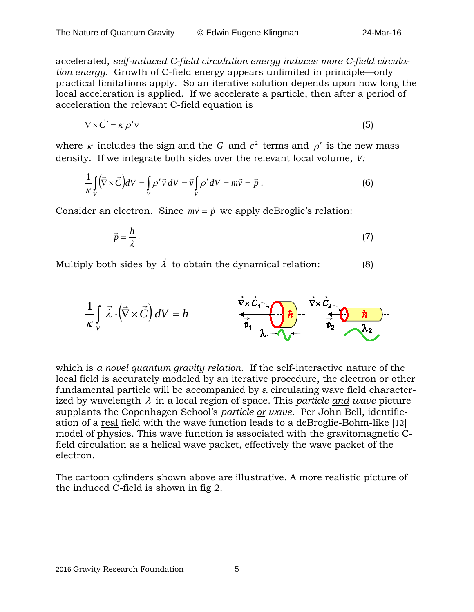accelerated, *self-induced C-field circulation energy induces more C-field circulation energy.* Growth of C-field energy appears unlimited in principle—only practical limitations apply. So an iterative solution depends upon how long the local acceleration is applied. If we accelerate a particle, then after a period of acceleration the relevant C-field equation is

$$
\vec{\nabla} \times \vec{C}' = \kappa \, \rho' \vec{v} \tag{5}
$$

where  $\kappa$  includes the sign and the *G* and  $c^2$  terms and  $\rho'$  is the new mass density. If we integrate both sides over the relevant local volume, *V:*

$$
\frac{1}{\kappa} \int\limits_V (\vec{\nabla} \times \vec{C}) dV = \int\limits_V \rho' \vec{v} \, dV = \vec{v} \int\limits_V \rho' dV = m\vec{v} = \vec{p} \,.
$$

Consider an electron. Since  $m\vec{v} = \vec{p}$  we apply deBroglie's relation:

$$
\vec{p} = \frac{h}{\lambda} \,. \tag{7}
$$

Multiply both sides by  $\vec{\lambda}$  to obtain the dynamical relation:  $\qquad \qquad (8)$ 

$$
\frac{1}{\kappa} \int\limits_V \vec{\lambda} \cdot (\vec{\nabla} \times \vec{C}) dV = h
$$

which is *a novel quantum gravity relation*. If the self-interactive nature of the local field is accurately modeled by an iterative procedure, the electron or other fundamental particle will be accompanied by a circulating wave field characterized by wavelength λ in a local region of space. This *particle and wave* picture supplants the Copenhagen School's *particle or wave*. Per John Bell, identification of a real field with the wave function leads to a deBroglie-Bohm-like [12] model of physics. This wave function is associated with the gravitomagnetic Cfield circulation as a helical wave packet, effectively the wave packet of the electron.

The cartoon cylinders shown above are illustrative. A more realistic picture of the induced C-field is shown in fig 2.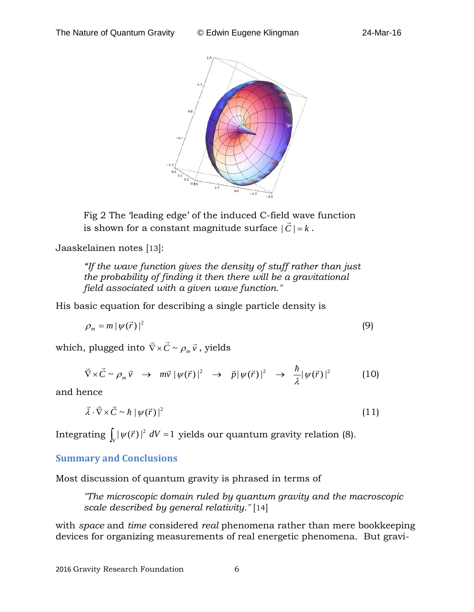

Fig 2 The 'leading edge' of the induced C-field wave function is shown for a constant magnitude surface  $|\vec{C}| = k$ .

Jaaskelainen notes [13]:

*"If the wave function gives the density of stuff rather than just the probability of finding it then there will be a gravitational field associated with a given wave function."*

His basic equation for describing a single particle density is

$$
\rho_m = m \left| \psi(\vec{r}) \right|^2 \tag{9}
$$

which, plugged into  $\vec{\nabla} \times \vec{C} \sim \rho_m \vec{v}$  , yields

$$
\vec{\nabla}\times\vec{C}\sim\rho_m\vec{v}\quad\rightarrow\quad m\vec{v}\mid\psi(\vec{r})\mid^2\quad\rightarrow\quad \vec{p}\mid\psi(\vec{r})\mid^2\quad\rightarrow\quad \frac{\hbar}{\lambda}\mid\psi(\vec{r})\mid^2\tag{10}
$$

and hence

$$
\vec{\lambda} \cdot \vec{\nabla} \times \vec{C} \sim \hbar \left| \psi(\vec{r}) \right|^2 \tag{11}
$$

Integrating  $\int_V |\psi(\vec{r})|^2 \ dV = 1$  yields our quantum gravity relation (8).

### **Summary and Conclusions**

Most discussion of quantum gravity is phrased in terms of

*"The microscopic domain ruled by quantum gravity and the macroscopic scale described by general relativity."* [14]

with *space* and *time* considered *real* phenomena rather than mere bookkeeping devices for organizing measurements of real energetic phenomena. But gravi-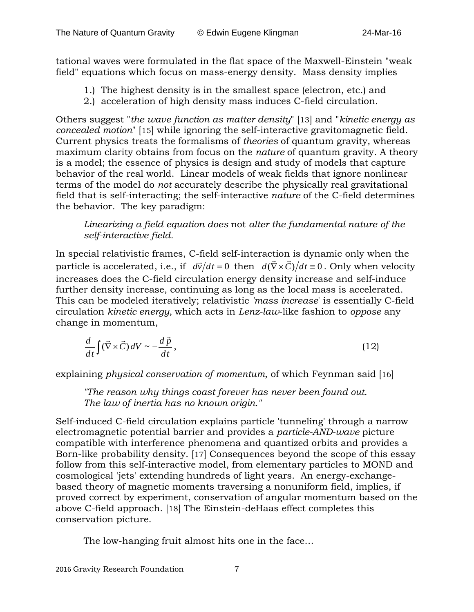tational waves were formulated in the flat space of the Maxwell-Einstein "weak field" equations which focus on mass-energy density. Mass density implies

- 1.) The highest density is in the smallest space (electron, etc.) and
- 2.) acceleration of high density mass induces C-field circulation.

Others suggest "*the wave function as matter density*" [13] and "*kinetic energy as concealed motion*" [15] while ignoring the self-interactive gravitomagnetic field. Current physics treats the formalisms of *theories* of quantum gravity*,* whereas maximum clarity obtains from focus on the *nature* of quantum gravity. A theory is a model; the essence of physics is design and study of models that capture behavior of the real world. Linear models of weak fields that ignore nonlinear terms of the model do *not* accurately describe the physically real gravitational field that is self-interacting; the self-interactive *nature* of the C-field determines the behavior. The key paradigm:

### *Linearizing a field equation does* not *alter the fundamental nature of the self-interactive field.*

In special relativistic frames, C-field self-interaction is dynamic only when the particle is accelerated, i.e., if  $d\vec{v}/dt = 0$  then  $d(\vec{\nabla} \times \vec{C})/dt = 0$ . Only when velocity increases does the C-field circulation energy density increase and self-induce further density increase, continuing as long as the local mass is accelerated. This can be modeled iteratively; relativistic *'mass increase*' is essentially C-field circulation *kinetic energy,* which acts in *Lenz-law*-like fashion to *oppose* any change in momentum,

$$
\frac{d}{dt}\int (\vec{\nabla} \times \vec{C}) dV \sim -\frac{d\vec{p}}{dt},\qquad(12)
$$

explaining *physical conservation of momentum*, of which Feynman said [16]

*"The reason why things coast forever has never been found out. The law of inertia has no known origin."*

Self-induced C-field circulation explains particle 'tunneling' through a narrow electromagnetic potential barrier and provides a *particle-AND-wave* picture compatible with interference phenomena and quantized orbits and provides a Born-like probability density. [17] Consequences beyond the scope of this essay follow from this self-interactive model, from elementary particles to MOND and cosmological 'jets' extending hundreds of light years. An energy-exchangebased theory of magnetic moments traversing a nonuniform field, implies, if proved correct by experiment, conservation of angular momentum based on the above C-field approach. [18] The Einstein-deHaas effect completes this conservation picture.

The low-hanging fruit almost hits one in the face…